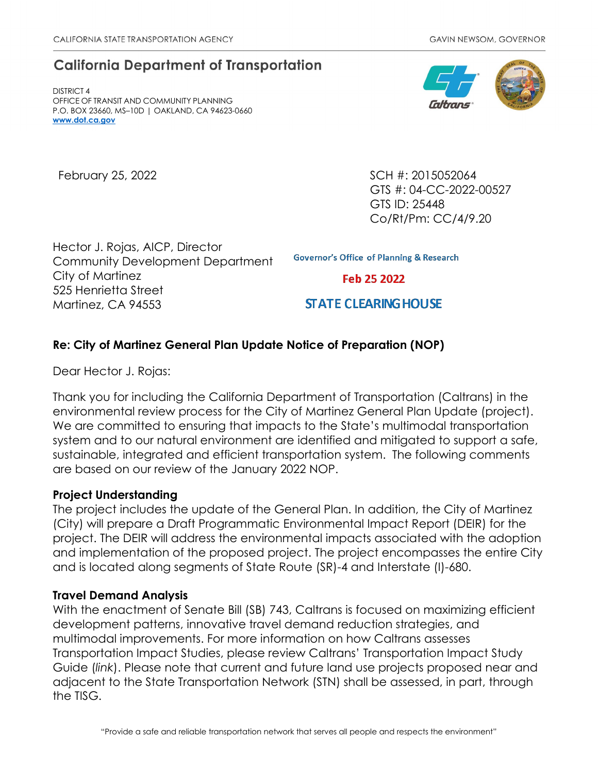# **California Department of Transportation**

DISTRICT 4 OFFICE OF TRANSIT AND COMMUNITY PLANNING P.O. BOX 23660, MS–10D | OAKLAND, CA 94623-0660 **[www.dot.ca.gov](http://www.dot.ca.gov/)**

February 25, 2022 **SCH #: 2015052064** GTS #: 04-CC-2022-00527 GTS ID: 25448 Co/Rt/Pm: CC/4/9.20

Hector J. Rojas, AICP, Director Community Development Department City of Martinez 525 Henrietta Street Martinez, CA 94553

**Governor's Office of Planning & Research** 

Feb 25 2022

**STATE CLEARING HOUSE** 

## **Re: City of Martinez General Plan Update Notice of Preparation (NOP)**

Dear Hector J. Rojas:

Thank you for including the California Department of Transportation (Caltrans) in the environmental review process for the City of Martinez General Plan Update (project). We are committed to ensuring that impacts to the State's multimodal transportation system and to our natural environment are identified and mitigated to support a safe, sustainable, integrated and efficient transportation system. The following comments are based on our review of the January 2022 NOP.

### **Project Understanding**

The project includes the update of the General Plan. In addition, the City of Martinez (City) will prepare a Draft Programmatic Environmental Impact Report (DEIR) for the project. The DEIR will address the environmental impacts associated with the adoption and implementation of the proposed project. The project encompasses the entire City and is located along segments of State Route (SR)-4 and Interstate (I)-680.

### **Travel Demand Analysis**

With the enactment of Senate Bill (SB) 743, Caltrans is focused on maximizing efficient development patterns, innovative travel demand reduction strategies, and multimodal improvements. For more information on how Caltrans assesses Transportation Impact Studies, please review Caltrans' [Transportation Impact Study](https://dot.ca.gov/-/media/dot-media/programs/transportation-planning/documents/sb-743/2020-05-20-approved-vmt-focused-tisg-a11y.pdf)  [Guide \(](https://dot.ca.gov/-/media/dot-media/programs/transportation-planning/documents/sb-743/2020-05-20-approved-vmt-focused-tisg-a11y.pdf)*[link](https://dot.ca.gov/-/media/dot-media/programs/transportation-planning/documents/sb-743/2020-05-20-approved-vmt-focused-tisg-a11y.pdf)*). [Please note that current and future land use projects proposed near and](https://dot.ca.gov/-/media/dot-media/programs/transportation-planning/documents/sb-743/2020-05-20-approved-vmt-focused-tisg-a11y.pdf)  [adjacent to the State Transportation Network \(STN\) shall be assessed, in part, through](https://dot.ca.gov/-/media/dot-media/programs/transportation-planning/documents/sb-743/2020-05-20-approved-vmt-focused-tisg-a11y.pdf)  [the TISG.](https://dot.ca.gov/-/media/dot-media/programs/transportation-planning/documents/sb-743/2020-05-20-approved-vmt-focused-tisg-a11y.pdf)

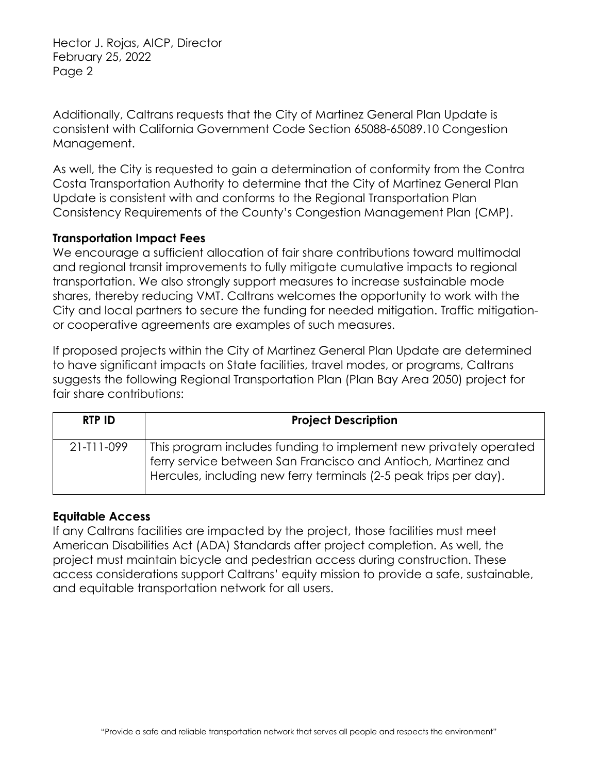Hector J. Rojas, AICP, Director February 25, 2022 Page 2

Additionally, Caltrans requests that the City of Martinez General Plan Update is consistent with California Government Code Section 65088-65089.10 Congestion Management.

As well, the City is requested to gain a determination of conformity from the Contra Costa Transportation Authority to determine that the City of Martinez General Plan Update is consistent with and conforms to the Regional Transportation Plan Consistency Requirements of the County's Congestion Management Plan (CMP).

### **Transportation Impact Fees**

We encourage a sufficient allocation of fair share contributions toward multimodal and regional transit improvements to fully mitigate cumulative impacts to regional transportation. We also strongly support measures to increase sustainable mode shares, thereby reducing VMT. Caltrans welcomes the opportunity to work with the City and local partners to secure the funding for needed mitigation. Traffic mitigationor cooperative agreements are examples of such measures.

If proposed projects within the City of Martinez General Plan Update are determined to have significant impacts on State facilities, travel modes, or programs, Caltrans suggests the following Regional Transportation Plan (Plan Bay Area 2050) project for fair share contributions:

| <b>RTP ID</b>    | <b>Project Description</b>                                                                                                                                                                              |
|------------------|---------------------------------------------------------------------------------------------------------------------------------------------------------------------------------------------------------|
| $21 - 111 - 099$ | This program includes funding to implement new privately operated<br>ferry service between San Francisco and Antioch, Martinez and<br>Hercules, including new ferry terminals (2-5 peak trips per day). |

### **Equitable Access**

If any Caltrans facilities are impacted by the project, those facilities must meet American Disabilities Act (ADA) Standards after project completion. As well, the project must maintain bicycle and pedestrian access during construction. These access considerations support Caltrans' equity mission to provide a safe, sustainable, and equitable transportation network for all users.